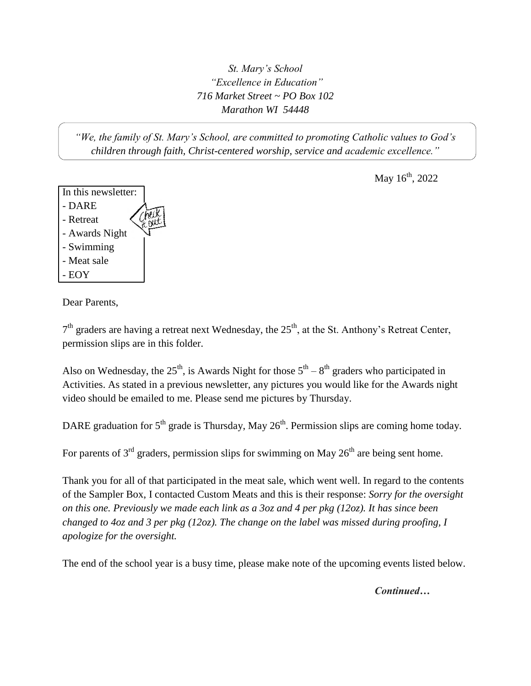*St. Mary's School "Excellence in Education" 716 Market Street ~ PO Box 102 Marathon WI 54448*

*"We, the family of St. Mary's School, are committed to promoting Catholic values to God's children through faith, Christ-centered worship, service and academic excellence."*

May  $16^{th}$ , 2022



Dear Parents,

 $7<sup>th</sup>$  graders are having a retreat next Wednesday, the  $25<sup>th</sup>$ , at the St. Anthony's Retreat Center, permission slips are in this folder.

Also on Wednesday, the  $25<sup>th</sup>$ , is Awards Night for those  $5<sup>th</sup> - 8<sup>th</sup>$  graders who participated in Activities. As stated in a previous newsletter, any pictures you would like for the Awards night video should be emailed to me. Please send me pictures by Thursday.

DARE graduation for  $5<sup>th</sup>$  grade is Thursday, May  $26<sup>th</sup>$ . Permission slips are coming home today.

For parents of  $3<sup>rd</sup>$  graders, permission slips for swimming on May  $26<sup>th</sup>$  are being sent home.

Thank you for all of that participated in the meat sale, which went well. In regard to the contents of the Sampler Box, I contacted Custom Meats and this is their response: *Sorry for the oversight on this one. Previously we made each link as a 3oz and 4 per pkg (12oz). It has since been changed to 4oz and 3 per pkg (12oz). The change on the label was missed during proofing, I apologize for the oversight.*

The end of the school year is a busy time, please make note of the upcoming events listed below.

*Continued…*